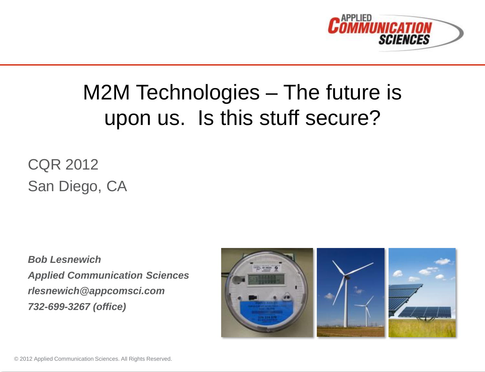

# M2M Technologies – The future is upon us. Is this stuff secure?

CQR 2012 San Diego, CA

*Bob Lesnewich Applied Communication Sciences rlesnewich@appcomsci.com 732-699-3267 (office)*

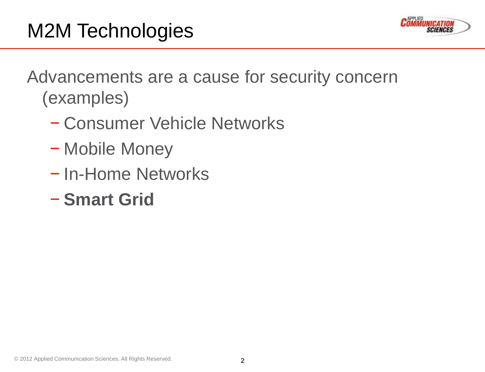Advancements are a cause for security concern (examples)

- − Consumer Vehicle Networks
- − Mobile Money
- − In-Home Networks
- − **Smart Grid**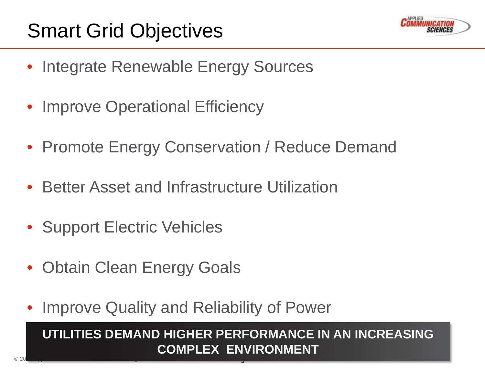

- Integrate Renewable Energy Sources
- Improve Operational Efficiency
- Promote Energy Conservation / Reduce Demand
- Better Asset and Infrastructure Utilization
- Support Electric Vehicles
- Obtain Clean Energy Goals
- Improve Quality and Reliability of Power

#### **3**  $\frac{1}{2}$   $\frac{1}{2}$   $\frac{1}{2}$   $\frac{1}{2}$   $\frac{1}{2}$   $\frac{1}{2}$   $\frac{1}{2}$   $\frac{1}{2}$   $\frac{1}{2}$   $\frac{1}{2}$   $\frac{1}{2}$   $\frac{1}{2}$   $\frac{1}{2}$   $\frac{1}{2}$   $\frac{1}{2}$   $\frac{1}{2}$   $\frac{1}{2}$   $\frac{1}{2}$   $\frac{1}{2}$   $\frac{1}{2}$   $\frac{1}{2}$   $\frac{1}{2}$ **UTILITIES DEMAND HIGHER PERFORMANCE IN AN INCREASING COMPLEX ENVIRONMENT**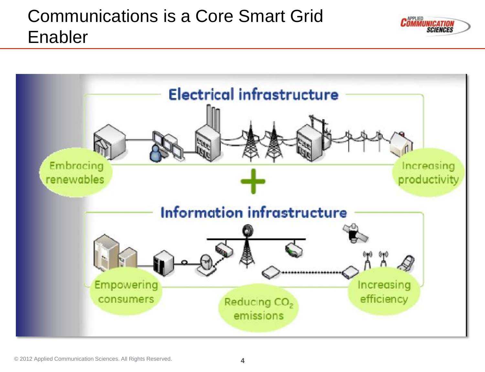### Communications is a Core Smart Grid Enabler



**PPLIED**<br>MMUNICATION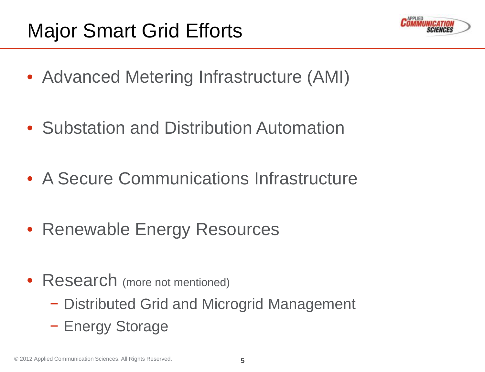

- Advanced Metering Infrastructure (AMI)
- Substation and Distribution Automation
- A Secure Communications Infrastructure
- Renewable Energy Resources
- Research (more not mentioned)
	- − Distributed Grid and Microgrid Management
	- − Energy Storage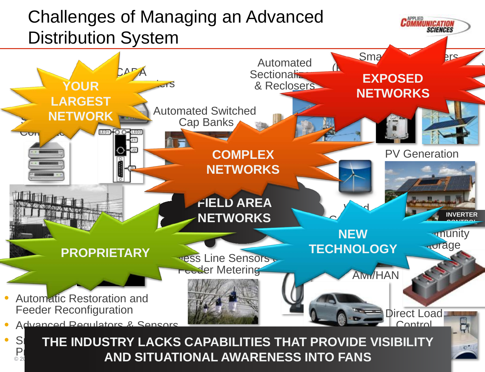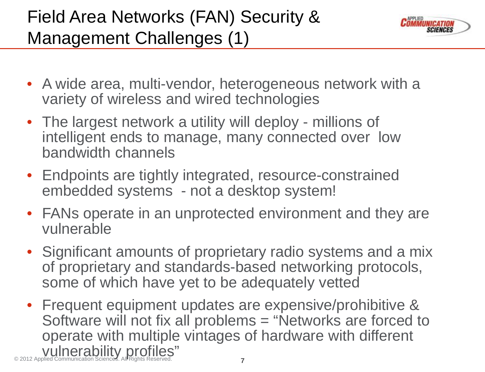## Field Area Networks (FAN) Security & Management Challenges (1)



- A wide area, multi-vendor, heterogeneous network with a variety of wireless and wired technologies
- The largest network a utility will deploy millions of intelligent ends to manage, many connected over low bandwidth channels
- Endpoints are tightly integrated, resource-constrained embedded systems - not a desktop system!
- FANs operate in an unprotected environment and they are vulnerable
- Significant amounts of proprietary radio systems and a mix of proprietary and standards-based networking protocols, some of which have yet to be adequately vetted
- **7** © 2012 Applied Communication Sciences. All Rights Reserved. • Frequent equipment updates are expensive/prohibitive & Software will not fix all problems = "Networks are forced to operate with multiple vintages of hardware with different vulnerability profiles"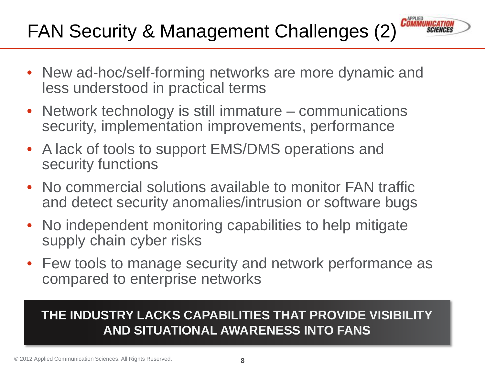# FAN Security & Management Challenges (2)

• New ad-hoc/self-forming networks are more dynamic and less understood in practical terms

*COMMUNICATIO* 

- Network technology is still immature communications security, implementation improvements, performance
- A lack of tools to support EMS/DMS operations and security functions
- No commercial solutions available to monitor FAN traffic and detect security anomalies/intrusion or software bugs
- No independent monitoring capabilities to help mitigate supply chain cyber risks
- Few tools to manage security and network performance as compared to enterprise networks

#### **THE INDUSTRY LACKS CAPABILITIES THAT PROVIDE VISIBILITY AND SITUATIONAL AWARENESS INTO FANS**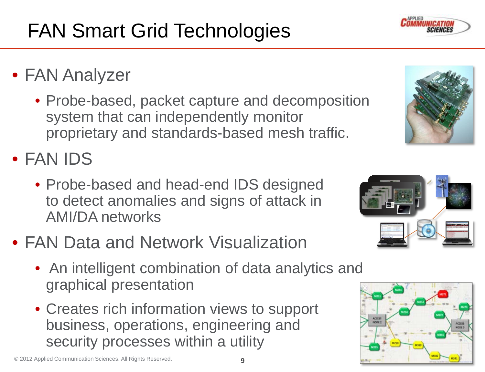# FAN Smart Grid Technologies

- FAN Analyzer
	- Probe-based, packet capture and decomposition system that can independently monitor proprietary and standards-based mesh traffic.
- FAN IDS
	- Probe-based and head-end IDS designed to detect anomalies and signs of attack in AMI/DA networks
- FAN Data and Network Visualization
	- An intelligent combination of data analytics and graphical presentation
	- Creates rich information views to support business, operations, engineering and security processes within a utility





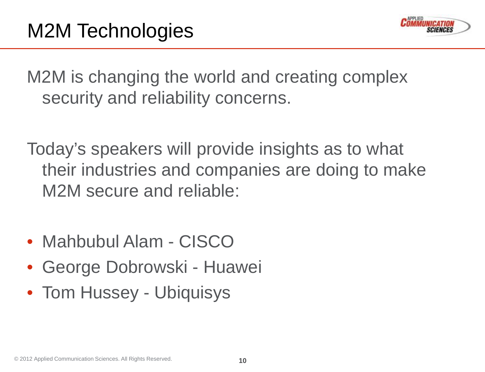

M2M is changing the world and creating complex security and reliability concerns.

Today's speakers will provide insights as to what their industries and companies are doing to make M2M secure and reliable:

- Mahbubul Alam CISCO
- George Dobrowski Huawei
- Tom Hussey Ubiquisys